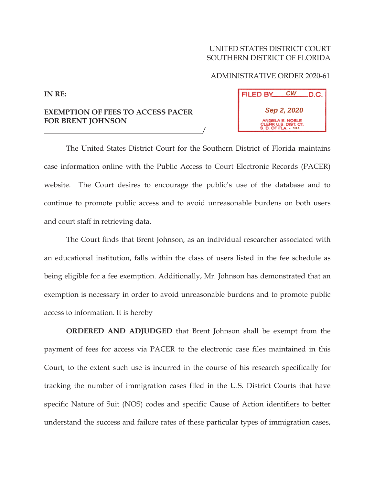## UNITED STATES DISTRICT COURT SOUTHERN DISTRICT OF FLORIDA

## ADMINISTRATIVE ORDER 2020-61

| <b>FILED BY</b>                                                       | CW | .D.C. |
|-----------------------------------------------------------------------|----|-------|
| Sep 2, 2020                                                           |    |       |
| ANGELA E. NOBLE<br>CLERK U.S. DIST. CT.<br><b>S. D. OF FLA. - MIA</b> |    |       |

**EXEMPTION OF FEES TO ACCESS PACER FOR BRENT JOHNSON** 

The United States District Court for the Southern District of Florida maintains case information online with the Public Access to Court Electronic Records (PACER) website. The Court desires to encourage the public's use of the database and to continue to promote public access and to avoid unreasonable burdens on both users and court staff in retrieving data.

 $\frac{1}{2}$ 

The Court finds that Brent Johnson, as an individual researcher associated with an educational institution, falls within the class of users listed in the fee schedule as being eligible for a fee exemption. Additionally, Mr. Johnson has demonstrated that an exemption is necessary in order to avoid unreasonable burdens and to promote public access to information. It is hereby

**ORDERED AND ADJUDGED** that Brent Johnson shall be exempt from the payment of fees for access via PACER to the electronic case files maintained in this Court, to the extent such use is incurred in the course of his research specifically for tracking the number of immigration cases filed in the U.S. District Courts that have specific Nature of Suit (NOS) codes and specific Cause of Action identifiers to better understand the success and failure rates of these particular types of immigration cases,

**IN RE:**